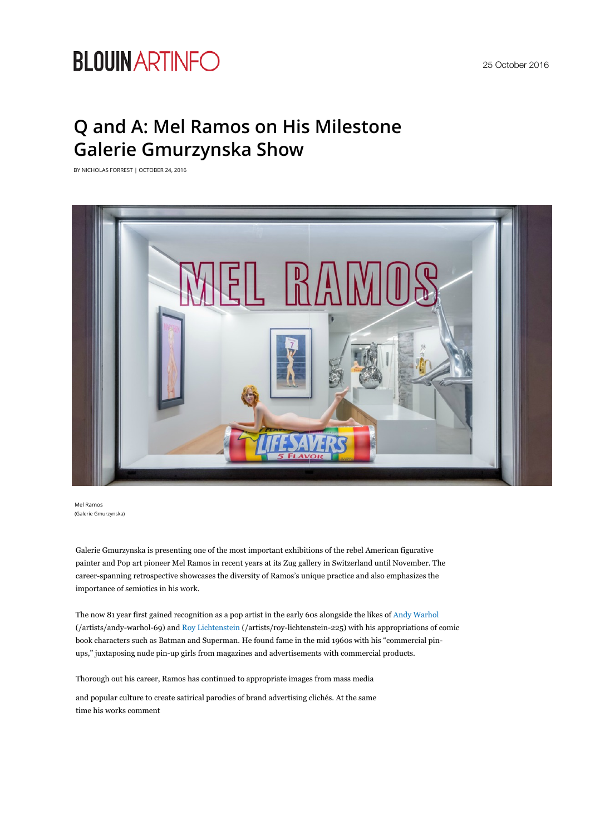# **BLOUIN ARTINFO**

# **Q and A: Mel Ramos on His Milestone Galerie Gmurzynska Show**

BY NICHOLAS FORREST | OCTOBER 24, 2016



Mel Ramos (Galerie Gmurzynska)

Galerie Gmurzynska is presenting one of the most important exhibitions of the rebel American figurative painter and Pop art pioneer Mel Ramos in recent years at its Zug gallery in Switzerland until November. The career-spanning retrospective showcases the diversity of Ramos's unique practice and also emphasizes the importance of semiotics in his work.

The now 81 year first gained recognition as a pop artist in the early 60s alongside the likes of Andy Warhol (/artists/andy-warhol-69) and Roy Lichtenstein (/artists/roy-lichtenstein-225) with his appropriations of comic book characters such as Batman and Superman. He found fame in the mid 1960s with his "commercial pinups," juxtaposing nude pin-up girls from magazines and advertisements with commercial products.

Thorough out his career, Ramos has continued to appropriate images from mass media

and popular culture to create satirical parodies of brand advertising clichés. At the same time his works comment